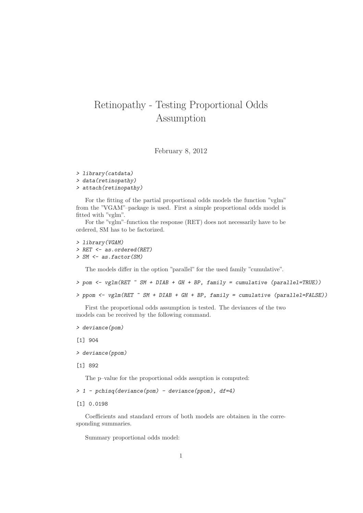## Retinopathy - Testing Proportional Odds Assumption

February 8, 2012

> library(catdata) > data(retinopathy) > attach(retinopathy)

For the fitting of the partial proportional odds models the function "vglm" from the "VGAM"–package is used. First a simple proportional odds model is fitted with "vglm".

For the "vglm"–function the response (RET) does not necessarily have to be ordered, SM has to be factorized.

```
> library(VGAM)
> RET <- as.ordered(RET)
> SM <- as.factor(SM)
```
The models differ in the option "parallel" for the used family "cumulative".

```
> pom <- vglm(RET ~ SM + DIAB + GH + BP, family = cumulative (parallel=TRUE))
```

```
> ppom <- vglm(RET ~ SM + DIAB + GH + BP, family = cumulative (parallel=FALSE))
```
First the proportional odds assumption is tested. The deviances of the two models can be received by the following command.

```
> deviance(pom)
```
[1] 904

```
> deviance(ppom)
```

```
[1] 892
```
The p–value for the proportional odds assuption is computed:

 $> 1$  - pchisq(deviance(pom) - deviance(ppom), df=4)

[1] 0.0198

Coefficients and standard errors of both models are obtainen in the corresponding summaries.

Summary proportional odds model: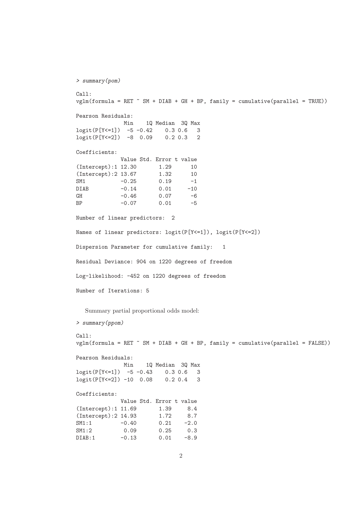```
> summary(pom)
Call:
vglm(formula = RET "SM + DIAB + GH + BP, family = cumulative(parallel = TRUE))Pearson Residuals:
            Min 1Q Median 3Q Max
logit(P[Y<=1]) -5 -0.42 0.3 0.6 3
logit(P[Y<=2]) -8 0.09 0.2 0.3 2
Coefficients:
            Value Std. Error t value
(Intercept):1 12.30 1.29 10<br>(Intercept):2 13.67 1.32 10
(Intercept):2 13.67 1.32 10
SM1 -0.25 0.19 -1<br>DIAB -0.14 0.01 -10
DIAB -0.14 0.01 -10
GH -0.46 0.07 -6
BP -0.07 0.01 -5
Number of linear predictors: 2
Names of linear predictors: logit(P[Y<=1]), logit(P[Y<=2])
Dispersion Parameter for cumulative family: 1
Residual Deviance: 904 on 1220 degrees of freedom
Log-likelihood: -452 on 1220 degrees of freedom
Number of Iterations: 5
  Summary partial proportional odds model:
> summary(ppom)
Call:
vglm(formula = RET "SM + DIAB + GH + BP, family = cumulative(parallel = FALSE))Pearson Residuals:
             Min 1Q Median 3Q Max
logit(P[Y<=1]) -5 -0.43 0.3 0.6 3
logit(P[Y<=2]) -10 0.08 0.2 0.4 3
Coefficients:
            Value Std. Error t value
(Intercept):1 11.69 1.39 8.4
(Intercept):2 14.93 1.72 8.7
SM1:1 -0.40 0.21 -2.0<br>SM1:2 0.09 0.25 0.3
SM1:2 0.09 0.25 0.3
DIAB:1 -0.13 0.01 -8.9
```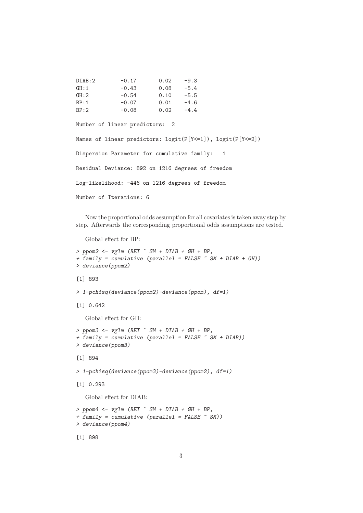| DIAB:2 | $-0.17$ | 0.02 | $-9.3$ |
|--------|---------|------|--------|
| GH:1   | $-0.43$ | 0.08 | $-5.4$ |
| GH:2   | $-0.54$ | 0.10 | $-5.5$ |
| BP:1   | $-0.07$ | 0.01 | $-4.6$ |
| BP:2   | $-0.08$ | 0.02 | $-4.4$ |

Number of linear predictors: 2

Names of linear predictors: logit(P[Y<=1]), logit(P[Y<=2]) Dispersion Parameter for cumulative family: 1 Residual Deviance: 892 on 1216 degrees of freedom Log-likelihood: -446 on 1216 degrees of freedom Number of Iterations: 6

Now the proportional odds assumption for all covariates is taken away step by step. Afterwards the corresponding proportional odds assumptions are tested.

Global effect for BP:

```
> ppom2 <- vglm (RET \tilde{C} SM + DIAB + GH + BP,
+ family = cumulative (parallel = FALSE ~ SM + DIAB + GH))
> deviance(ppom2)
[1] 893
> 1-pchisq(deviance(ppom2)-deviance(ppom), df=1)
[1] 0.642
   Global effect for GH:
> ppom3 \leq vglm (RET \degree SM + DIAB + GH + BP,
+ family = cumulative (parallel = FALSE \tilde{S} SM + DIAB))
> deviance(ppom3)
[1] 894
> 1-pchisq(deviance(ppom3)-deviance(ppom2), df=1)
[1] 0.293
   Global effect for DIAB:
> ppom4 <- vglm (RET \tilde{C} SM + DIAB + GH + BP,
+ family = cumulative (parallel = FALSE ~ SM))
> deviance(ppom4)
[1] 898
```